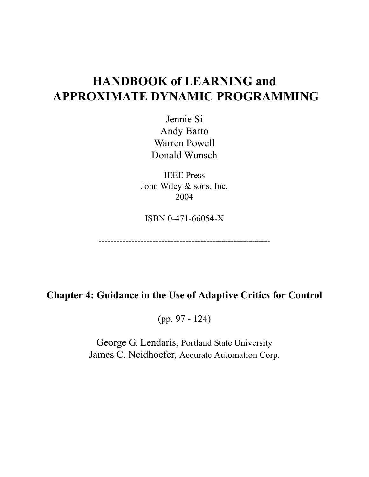# **HANDBOOK of LEARNING and APPROXIMATE DYNAMIC PROGRAMMING**

Jennie Si Andy Barto Warren Powell Donald Wunsch

IEEE Press John Wiley & sons, Inc. 2004

ISBN 0-471-66054-X

---------------------------------------------------------

# **Chapter 4: Guidance in the Use of Adaptive Critics for Control**

(pp. 97 - 124)

George G. Lendaris, Portland State University James C. Neidhoefer, Accurate Automation Corp.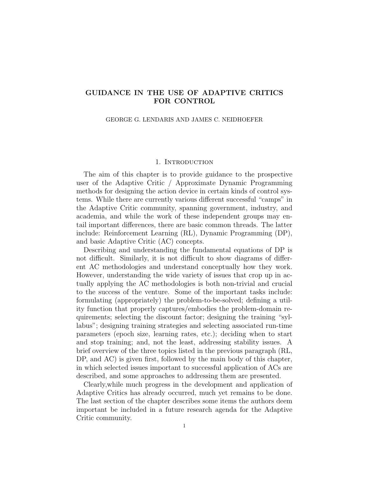# GUIDANCE IN THE USE OF ADAPTIVE CRITICS FOR CONTROL

## GEORGE G. LENDARIS AND JAMES C. NEIDHOEFER

#### 1. INTRODUCTION

The aim of this chapter is to provide guidance to the prospective user of the Adaptive Critic / Approximate Dynamic Programming methods for designing the action device in certain kinds of control systems. While there are currently various different successful "camps" in the Adaptive Critic community, spanning government, industry, and academia, and while the work of these independent groups may entail important differences, there are basic common threads. The latter include: Reinforcement Learning (RL), Dynamic Programming (DP), and basic Adaptive Critic (AC) concepts.

Describing and understanding the fundamental equations of DP is not difficult. Similarly, it is not difficult to show diagrams of different AC methodologies and understand conceptually how they work. However, understanding the wide variety of issues that crop up in actually applying the AC methodologies is both non-trivial and crucial to the success of the venture. Some of the important tasks include: formulating (appropriately) the problem-to-be-solved; defining a utility function that properly captures/embodies the problem-domain requirements; selecting the discount factor; designing the training "syllabus"; designing training strategies and selecting associated run-time parameters (epoch size, learning rates, etc.); deciding when to start and stop training; and, not the least, addressing stability issues. A brief overview of the three topics listed in the previous paragraph (RL, DP, and AC) is given first, followed by the main body of this chapter, in which selected issues important to successful application of ACs are described, and some approaches to addressing them are presented.

Clearly,while much progress in the development and application of Adaptive Critics has already occurred, much yet remains to be done. The last section of the chapter describes some items the authors deem important be included in a future research agenda for the Adaptive Critic community.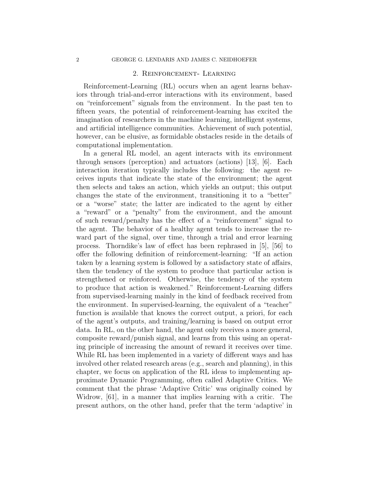## 2 GEORGE G. LENDARIS AND JAMES C. NEIDHOEFER

#### 2. Reinforcement- Learning

Reinforcement-Learning (RL) occurs when an agent learns behaviors through trial-and-error interactions with its environment, based on "reinforcement" signals from the environment. In the past ten to fifteen years, the potential of reinforcement-learning has excited the imagination of researchers in the machine learning, intelligent systems, and artificial intelligence communities. Achievement of such potential, however, can be elusive, as formidable obstacles reside in the details of computational implementation.

In a general RL model, an agent interacts with its environment through sensors (perception) and actuators (actions) [13], [6]. Each interaction iteration typically includes the following: the agent receives inputs that indicate the state of the environment; the agent then selects and takes an action, which yields an output; this output changes the state of the environment, transitioning it to a "better" or a "worse" state; the latter are indicated to the agent by either a "reward" or a "penalty" from the environment, and the amount of such reward/penalty has the effect of a "reinforcement" signal to the agent. The behavior of a healthy agent tends to increase the reward part of the signal, over time, through a trial and error learning process. Thorndike's law of effect has been rephrased in [5], [56] to offer the following definition of reinforcement-learning: "If an action taken by a learning system is followed by a satisfactory state of affairs, then the tendency of the system to produce that particular action is strengthened or reinforced. Otherwise, the tendency of the system to produce that action is weakened." Reinforcement-Learning differs from supervised-learning mainly in the kind of feedback received from the environment. In supervised-learning, the equivalent of a "teacher" function is available that knows the correct output, a priori, for each of the agent's outputs, and training/learning is based on output error data. In RL, on the other hand, the agent only receives a more general, composite reward/punish signal, and learns from this using an operating principle of increasing the amount of reward it receives over time. While RL has been implemented in a variety of different ways and has involved other related research areas (e.g., search and planning), in this chapter, we focus on application of the RL ideas to implementing approximate Dynamic Programming, often called Adaptive Critics. We comment that the phrase 'Adaptive Critic' was originally coined by Widrow, [61], in a manner that implies learning with a critic. The present authors, on the other hand, prefer that the term 'adaptive' in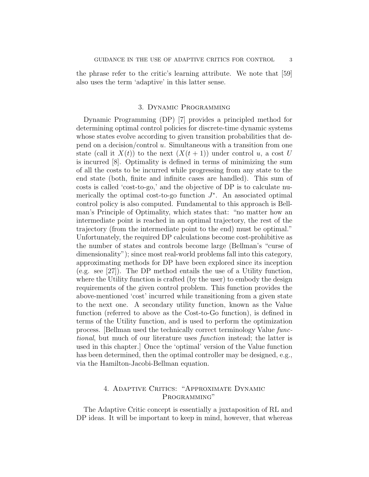the phrase refer to the critic's learning attribute. We note that [59] also uses the term 'adaptive' in this latter sense.

# 3. Dynamic Programming

Dynamic Programming (DP) [7] provides a principled method for determining optimal control policies for discrete-time dynamic systems whose states evolve according to given transition probabilities that depend on a decision/control  $u$ . Simultaneous with a transition from one state (call it  $X(t)$ ) to the next  $(X(t + 1))$  under control u, a cost U is incurred [8]. Optimality is defined in terms of minimizing the sum of all the costs to be incurred while progressing from any state to the end state (both, finite and infinite cases are handled). This sum of costs is called 'cost-to-go,' and the objective of DP is to calculate numerically the optimal cost-to-go function  $J^*$ . An associated optimal control policy is also computed. Fundamental to this approach is Bellman's Principle of Optimality, which states that: "no matter how an intermediate point is reached in an optimal trajectory, the rest of the trajectory (from the intermediate point to the end) must be optimal." Unfortunately, the required DP calculations become cost-prohibitive as the number of states and controls become large (Bellman's "curse of dimensionality"); since most real-world problems fall into this category, approximating methods for DP have been explored since its inception (e.g. see [27]). The DP method entails the use of a Utility function, where the Utility function is crafted (by the user) to embody the design requirements of the given control problem. This function provides the above-mentioned 'cost' incurred while transitioning from a given state to the next one. A secondary utility function, known as the Value function (referred to above as the Cost-to-Go function), is defined in terms of the Utility function, and is used to perform the optimization process. [Bellman used the technically correct terminology Value functional, but much of our literature uses function instead; the latter is used in this chapter.] Once the 'optimal' version of the Value function has been determined, then the optimal controller may be designed, e.g., via the Hamilton-Jacobi-Bellman equation.

# 4. Adaptive Critics: "Approximate Dynamic PROGRAMMING"

The Adaptive Critic concept is essentially a juxtaposition of RL and DP ideas. It will be important to keep in mind, however, that whereas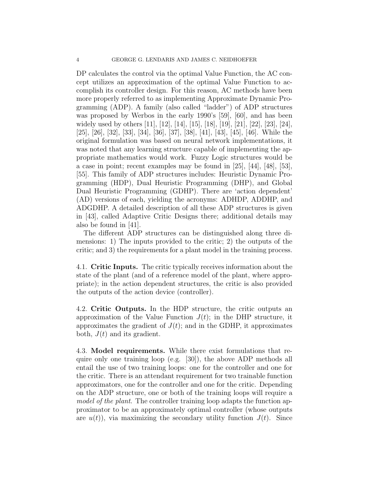DP calculates the control via the optimal Value Function, the AC concept utilizes an approximation of the optimal Value Function to accomplish its controller design. For this reason, AC methods have been more properly referred to as implementing Approximate Dynamic Programming (ADP). A family (also called "ladder") of ADP structures was proposed by Werbos in the early 1990's [59], [60], and has been widely used by others [11], [12], [14], [15], [18], [19], [21], [22], [23], [24], [25], [26], [32], [33], [34], [36], [37], [38], [41], [43], [45], [46]. While the original formulation was based on neural network implementations, it was noted that any learning structure capable of implementing the appropriate mathematics would work. Fuzzy Logic structures would be a case in point; recent examples may be found in [25], [44], [48], [53], [55]. This family of ADP structures includes: Heuristic Dynamic Programming (HDP), Dual Heuristic Programming (DHP), and Global Dual Heuristic Programming (GDHP). There are 'action dependent' (AD) versions of each, yielding the acronyms: ADHDP, ADDHP, and ADGDHP. A detailed description of all these ADP structures is given in [43], called Adaptive Critic Designs there; additional details may also be found in [41].

The different ADP structures can be distinguished along three dimensions: 1) The inputs provided to the critic; 2) the outputs of the critic; and 3) the requirements for a plant model in the training process.

4.1. Critic Inputs. The critic typically receives information about the state of the plant (and of a reference model of the plant, where appropriate); in the action dependent structures, the critic is also provided the outputs of the action device (controller).

4.2. Critic Outputs. In the HDP structure, the critic outputs an approximation of the Value Function  $J(t)$ ; in the DHP structure, it approximates the gradient of  $J(t)$ ; and in the GDHP, it approximates both,  $J(t)$  and its gradient.

4.3. Model requirements. While there exist formulations that require only one training loop (e.g. [30]), the above ADP methods all entail the use of two training loops: one for the controller and one for the critic. There is an attendant requirement for two trainable function approximators, one for the controller and one for the critic. Depending on the ADP structure, one or both of the training loops will require a model of the plant. The controller training loop adapts the function approximator to be an approximately optimal controller (whose outputs are  $u(t)$ , via maximizing the secondary utility function  $J(t)$ . Since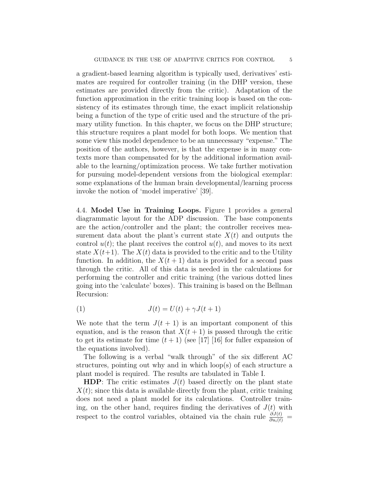a gradient-based learning algorithm is typically used, derivatives' estimates are required for controller training (in the DHP version, these estimates are provided directly from the critic). Adaptation of the function approximation in the critic training loop is based on the consistency of its estimates through time, the exact implicit relationship being a function of the type of critic used and the structure of the primary utility function. In this chapter, we focus on the DHP structure; this structure requires a plant model for both loops. We mention that some view this model dependence to be an unnecessary "expense." The position of the authors, however, is that the expense is in many contexts more than compensated for by the additional information available to the learning/optimization process. We take further motivation for pursuing model-dependent versions from the biological exemplar: some explanations of the human brain developmental/learning process invoke the notion of 'model imperative' [39].

4.4. Model Use in Training Loops. Figure 1 provides a general diagrammatic layout for the ADP discussion. The base components are the action/controller and the plant; the controller receives measurement data about the plant's current state  $X(t)$  and outputs the control  $u(t)$ ; the plant receives the control  $u(t)$ , and moves to its next state  $X(t+1)$ . The  $X(t)$  data is provided to the critic and to the Utility function. In addition, the  $X(t + 1)$  data is provided for a second pass through the critic. All of this data is needed in the calculations for performing the controller and critic training (the various dotted lines going into the 'calculate' boxes). This training is based on the Bellman Recursion:

$$
(1) \tJ(t) = U(t) + \gamma J(t+1)
$$

We note that the term  $J(t + 1)$  is an important component of this equation, and is the reason that  $X(t + 1)$  is passed through the critic to get its estimate for time  $(t + 1)$  (see [17] [16] for fuller expansion of the equations involved).

The following is a verbal "walk through" of the six different AC structures, pointing out why and in which loop(s) of each structure a plant model is required. The results are tabulated in Table I.

**HDP**: The critic estimates  $J(t)$  based directly on the plant state  $X(t)$ ; since this data is available directly from the plant, critic training does not need a plant model for its calculations. Controller training, on the other hand, requires finding the derivatives of  $J(t)$  with respect to the control variables, obtained via the chain rule  $\frac{\partial J(t)}{\partial u_i(t)}$  =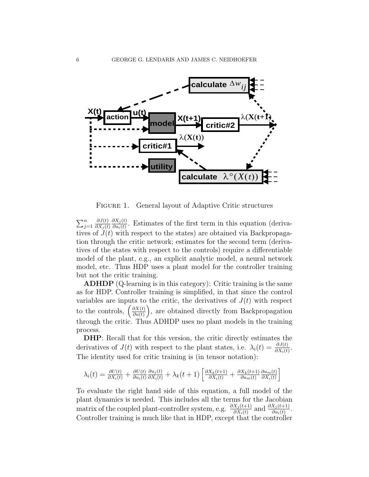

FIGURE 1. General layout of Adaptive Critic structures

 $\sum_{n}$  $j=1$  $\partial J(t)$  $\partial X_j(t)$  $\partial X_j(t)$  $\frac{\partial X_j(t)}{\partial u_i(t)}$ . Estimates of the first term in this equation (derivatives of  $J(t)$  with respect to the states) are obtained via Backpropagation through the critic network; estimates for the second term (derivatives of the states with respect to the controls) require a differentiable model of the plant, e.g., an explicit analytic model, a neural network model, etc. Thus HDP uses a plant model for the controller training but not the critic training.

ADHDP (Q-learning is in this category): Critic training is the same as for HDP. Controller training is simplified, in that since the control variables are inputs to the critic, the derivatives of  $J(t)$  with respect variables are inputs to<br>to the controls,  $\left(\frac{\partial X(t)}{\partial u(t)}\right)$  $\frac{\partial X(t)}{\partial u(t)}$ , are obtained directly from Backpropagation through the critic. Thus ADHDP uses no plant models in the training process.

DHP: Recall that for this version, the critic directly estimates the derivatives of  $J(t)$  with respect to the plant states, i.e.  $\lambda_i(t) = \frac{\partial J(t)}{\partial X_i(t)}$ . The identity used for critic training is (in tensor notation):

$$
\lambda_i(t) = \frac{\partial U(t)}{\partial X_i(t)} + \frac{\partial U(t)}{\partial u_i(t)} \frac{\partial u_j(t)}{\partial X_i(t)} + \lambda_k(t+1) \left[ \frac{\partial X_k(t+1)}{\partial X_i(t)} + \frac{\partial X_k(t+1)}{\partial u_m(t)} \frac{\partial u_m(t)}{\partial X_i(t)} \right]
$$

To evaluate the right hand side of this equation, a full model of the plant dynamics is needed. This includes all the terms for the Jacobian matrix of the coupled plant-controller system, e.g.  $\frac{\partial X_j(t+1)}{\partial X_i(t)}$  and  $\frac{\partial X_j(t+1)}{\partial u_i(t)}$ . Controller training is much like that in HDP, except that the controller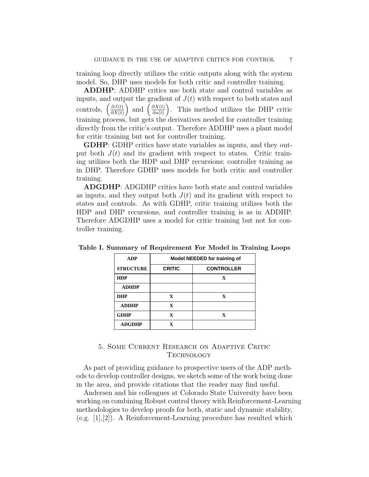training loop directly utilizes the critic outputs along with the system model. So, DHP uses models for both critic and controller training.

ADDHP: ADDHP critics use both state and control variables as inputs, and output the gradient of  $J(t)$  with respect to both states and controls,  $\left(\frac{\partial J(t)}{\partial X(t)}\right)$  $\partial J(t)$ output the gradie<br>  $\frac{\partial J(t)}{\partial X(t)}$  and  $\left(\frac{\partial X(t)}{\partial u(t)}\right)$  $\frac{\partial X(t)}{\partial u(t)}$ . This method utilizes the DHP critic training process, but gets the derivatives needed for controller training directly from the critic's output. Therefore ADDHP uses a plant model for critic training but not for controller training.

GDHP: GDHP critics have state variables as inputs, and they output both  $J(t)$  and its gradient with respect to states. Critic training utilizes both the HDP and DHP recursions; controller training as in DHP. Therefore GDHP uses models for both critic and controller training.

ADGDHP: ADGDHP critics have both state and control variables as inputs, and they output both  $J(t)$  and its gradient with respect to states and controls. As with GDHP, critic training utilizes both the HDP and DHP recursions, and controller training is as in ADDHP. Therefore ADGDHP uses a model for critic training but not for controller training.

| <b>ADP</b>       | <b>Model NEEDED for training of</b> |                   |
|------------------|-------------------------------------|-------------------|
| <b>STRUCTURE</b> | <b>CRITIC</b>                       | <b>CONTROLLER</b> |
| <b>HDP</b>       |                                     | X                 |
| <b>ADHDP</b>     |                                     |                   |
| <b>DHP</b>       | $\mathbf{x}$                        | X                 |
| <b>ADDHP</b>     | X                                   |                   |
| <b>GDHP</b>      | X                                   | X                 |
| <b>ADGDHP</b>    | X                                   |                   |

Table I. Summary of Requirement For Model in Training Loops

# 5. Some Current Research on Adaptive Critic **TECHNOLOGY**

As part of providing guidance to prospective users of the ADP methods to develop controller designs, we sketch some of the work being done in the area, and provide citations that the reader may find useful.

Andersen and his colleagues at Colorado State University have been working on combining Robust control theory with Reinforcement-Learning methodologies to develop proofs for both, static and dynamic stability,  $(e.g. [1], [2])$ . A Reinforcement-Learning procedure has resulted which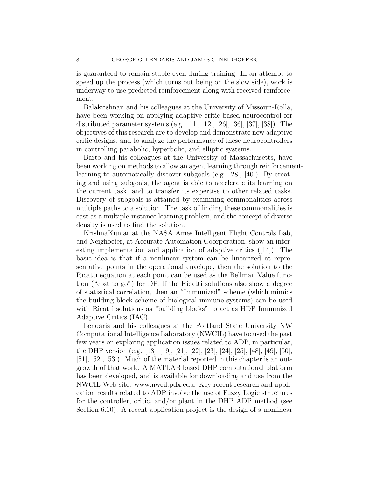is guaranteed to remain stable even during training. In an attempt to speed up the process (which turns out being on the slow side), work is underway to use predicted reinforcement along with received reinforcement.

Balakrishnan and his colleagues at the University of Missouri-Rolla, have been working on applying adaptive critic based neurocontrol for distributed parameter systems (e.g. [11], [12], [26], [36], [37], [38]). The objectives of this research are to develop and demonstrate new adaptive critic designs, and to analyze the performance of these neurocontrollers in controlling parabolic, hyperbolic, and elliptic systems.

Barto and his colleagues at the University of Massachusetts, have been working on methods to allow an agent learning through reinforcementlearning to automatically discover subgoals (e.g. [28], [40]). By creating and using subgoals, the agent is able to accelerate its learning on the current task, and to transfer its expertise to other related tasks. Discovery of subgoals is attained by examining commonalities across multiple paths to a solution. The task of finding these commonalities is cast as a multiple-instance learning problem, and the concept of diverse density is used to find the solution.

KrishnaKumar at the NASA Ames Intelligent Flight Controls Lab, and Neighoefer, at Accurate Automation Coorporation, show an interesting implementation and application of adaptive critics ([14]). The basic idea is that if a nonlinear system can be linearized at representative points in the operational envelope, then the solution to the Ricatti equation at each point can be used as the Bellman Value function ("cost to go") for DP. If the Ricatti solutions also show a degree of statistical correlation, then an "Immunized" scheme (which mimics the building block scheme of biological immune systems) can be used with Ricatti solutions as "building blocks" to act as HDP Immunized Adaptive Critics (IAC).

Lendaris and his colleagues at the Portland State University NW Computational Intelligence Laboratory (NWCIL) have focused the past few years on exploring application issues related to ADP, in particular, the DHP version (e.g. [18], [19], [21], [22], [23], [24], [25], [48], [49], [50], [51], [52], [53]). Much of the material reported in this chapter is an outgrowth of that work. A MATLAB based DHP computational platform has been developed, and is available for downloading and use from the NWCIL Web site: www.nwcil.pdx.edu. Key recent research and application results related to ADP involve the use of Fuzzy Logic structures for the controller, critic, and/or plant in the DHP ADP method (see Section 6.10). A recent application project is the design of a nonlinear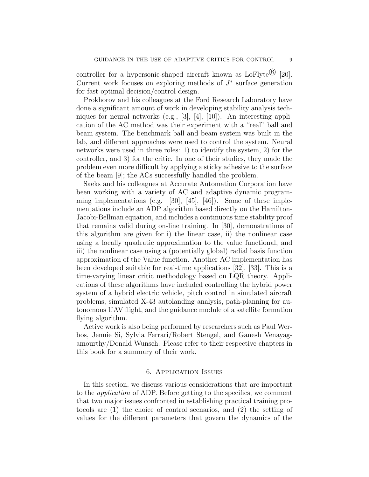controller for a hypersonic-shaped aircraft known as LoFlyte<sup><sup>(6)</sup> [20].</sup> Current work focuses on exploring methods of  $J^*$  surface generation for fast optimal decision/control design.

Prokhorov and his colleagues at the Ford Research Laboratory have done a significant amount of work in developing stability analysis techniques for neural networks (e.g., [3], [4], [10]). An interesting application of the AC method was their experiment with a "real" ball and beam system. The benchmark ball and beam system was built in the lab, and different approaches were used to control the system. Neural networks were used in three roles: 1) to identify the system, 2) for the controller, and 3) for the critic. In one of their studies, they made the problem even more difficult by applying a sticky adhesive to the surface of the beam [9]; the ACs successfully handled the problem.

Saeks and his colleagues at Accurate Automation Corporation have been working with a variety of AC and adaptive dynamic programming implementations (e.g.  $|30|, |45|, |46|$ ). Some of these implementations include an ADP algorithm based directly on the Hamilton-Jacobi-Bellman equation, and includes a continuous time stability proof that remains valid during on-line training. In [30], demonstrations of this algorithm are given for i) the linear case, ii) the nonlinear case using a locally quadratic approximation to the value functional, and iii) the nonlinear case using a (potentially global) radial basis function approximation of the Value function. Another AC implementation has been developed suitable for real-time applications [32], [33]. This is a time-varying linear critic methodology based on LQR theory. Applications of these algorithms have included controlling the hybrid power system of a hybrid electric vehicle, pitch control in simulated aircraft problems, simulated X-43 autolanding analysis, path-planning for autonomous UAV flight, and the guidance module of a satellite formation flying algorithm.

Active work is also being performed by researchers such as Paul Werbos, Jennie Si, Sylvia Ferrari/Robert Stengel, and Ganesh Venayagamourthy/Donald Wunsch. Please refer to their respective chapters in this book for a summary of their work.

# 6. Application Issues

In this section, we discuss various considerations that are important to the application of ADP. Before getting to the specifics, we comment that two major issues confronted in establishing practical training protocols are (1) the choice of control scenarios, and (2) the setting of values for the different parameters that govern the dynamics of the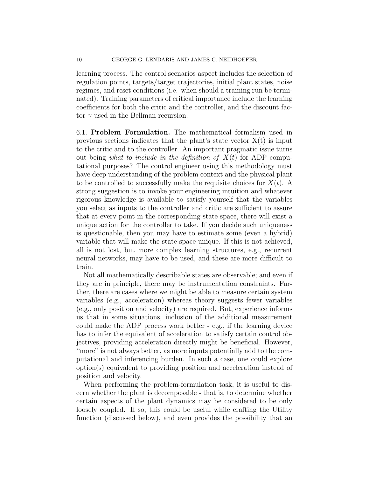learning process. The control scenarios aspect includes the selection of regulation points, targets/target trajectories, initial plant states, noise regimes, and reset conditions (i.e. when should a training run be terminated). Training parameters of critical importance include the learning coefficients for both the critic and the controller, and the discount factor  $\gamma$  used in the Bellman recursion.

6.1. Problem Formulation. The mathematical formalism used in previous sections indicates that the plant's state vector  $X(t)$  is input to the critic and to the controller. An important pragmatic issue turns out being what to include in the definition of  $X(t)$  for ADP computational purposes? The control engineer using this methodology must have deep understanding of the problem context and the physical plant to be controlled to successfully make the requisite choices for  $X(t)$ . A strong suggestion is to invoke your engineering intuition and whatever rigorous knowledge is available to satisfy yourself that the variables you select as inputs to the controller and critic are sufficient to assure that at every point in the corresponding state space, there will exist a unique action for the controller to take. If you decide such uniqueness is questionable, then you may have to estimate some (even a hybrid) variable that will make the state space unique. If this is not achieved, all is not lost, but more complex learning structures, e.g., recurrent neural networks, may have to be used, and these are more difficult to train.

Not all mathematically describable states are observable; and even if they are in principle, there may be instrumentation constraints. Further, there are cases where we might be able to measure certain system variables (e.g., acceleration) whereas theory suggests fewer variables (e.g., only position and velocity) are required. But, experience informs us that in some situations, inclusion of the additional measurement could make the ADP process work better - e.g., if the learning device has to infer the equivalent of acceleration to satisfy certain control objectives, providing acceleration directly might be beneficial. However, "more" is not always better, as more inputs potentially add to the computational and inferencing burden. In such a case, one could explore option(s) equivalent to providing position and acceleration instead of position and velocity.

When performing the problem-formulation task, it is useful to discern whether the plant is decomposable - that is, to determine whether certain aspects of the plant dynamics may be considered to be only loosely coupled. If so, this could be useful while crafting the Utility function (discussed below), and even provides the possibility that an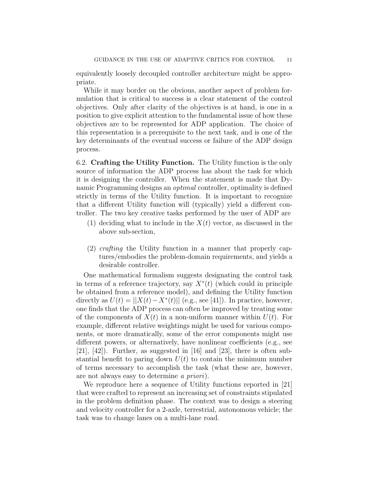equivalently loosely decoupled controller architecture might be appropriate.

While it may border on the obvious, another aspect of problem formulation that is critical to success is a clear statement of the control objectives. Only after clarity of the objectives is at hand, is one in a position to give explicit attention to the fundamental issue of how these objectives are to be represented for ADP application. The choice of this representation is a prerequisite to the next task, and is one of the key determinants of the eventual success or failure of the ADP design process.

6.2. Crafting the Utility Function. The Utility function is the only source of information the ADP process has about the task for which it is designing the controller. When the statement is made that Dynamic Programming designs an optimal controller, optimality is defined strictly in terms of the Utility function. It is important to recognize that a different Utility function will (typically) yield a different controller. The two key creative tasks performed by the user of ADP are

- (1) deciding what to include in the  $X(t)$  vector, as discussed in the above sub-section,
- (2) crafting the Utility function in a manner that properly captures/embodies the problem-domain requirements, and yields a desirable controller.

One mathematical formalism suggests designating the control task in terms of a reference trajectory, say  $X^*(t)$  (which could in principle be obtained from a reference model), and defining the Utility function directly as  $U(t) = ||X(t) - X^*(t)||$  (e.g., see [41]). In practice, however, one finds that the ADP process can often be improved by treating some of the components of  $X(t)$  in a non-uniform manner within  $U(t)$ . For example, different relative weightings might be used for various components, or more dramatically, some of the error components might use different powers, or alternatively, have nonlinear coefficients (e.g., see  $[21]$ ,  $[42]$ ). Further, as suggested in  $[16]$  and  $[23]$ , there is often substantial benefit to paring down  $U(t)$  to contain the minimum number of terms necessary to accomplish the task (what these are, however, are not always easy to determine a priori).

We reproduce here a sequence of Utility functions reported in [21] that were crafted to represent an increasing set of constraints stipulated in the problem definition phase. The context was to design a steering and velocity controller for a 2-axle, terrestrial, autonomous vehicle; the task was to change lanes on a multi-lane road.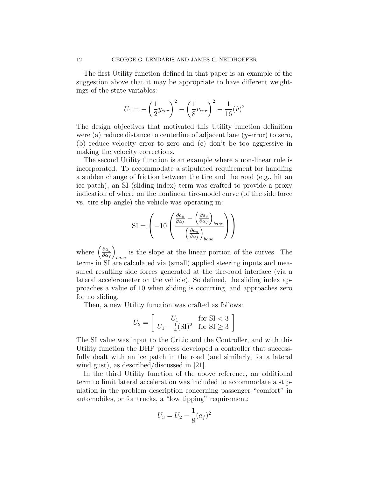The first Utility function defined in that paper is an example of the suggestion above that it may be appropriate to have different weightings of the state variables:

$$
U_1 = -\left(\frac{1}{2}y_{err}\right)^2 - \left(\frac{1}{8}v_{err}\right)^2 - \frac{1}{16}(\dot{v})^2
$$

The design objectives that motivated this Utility function definition were (a) reduce distance to centerline of adjacent lane (y-error) to zero, (b) reduce velocity error to zero and (c) don't be too aggressive in making the velocity corrections.

The second Utility function is an example where a non-linear rule is incorporated. To accommodate a stipulated requirement for handling a sudden change of friction between the tire and the road (e.g., hit an ice patch), an SI (sliding index) term was crafted to provide a proxy indication of where on the nonlinear tire-model curve (of tire side force vs. tire slip angle) the vehicle was operating in:

$$
\text{SI} = \left( -10 \left( \frac{\frac{\partial a_y}{\partial \alpha_f} - \left( \frac{\partial a_y}{\partial \alpha_f} \right)_{base}}{\left( \frac{\partial a_y}{\partial \alpha_f} \right)_{base}} \right) \right)
$$

where  $\left(\frac{\partial a_y}{\partial \alpha}\right)$  $\partial \alpha_f$ ´ base is the slope at the linear portion of the curves. The terms in SI are calculated via (small) applied steering inputs and measured resulting side forces generated at the tire-road interface (via a lateral accelerometer on the vehicle). So defined, the sliding index approaches a value of 10 when sliding is occurring, and approaches zero for no sliding.

Then, a new Utility function was crafted as follows:

$$
U_2 = \begin{bmatrix} U_1 & \text{for SI} < 3 \\ U_1 - \frac{1}{4}(\text{SI})^2 & \text{for SI} \ge 3 \end{bmatrix}
$$

The SI value was input to the Critic and the Controller, and with this Utility function the DHP process developed a controller that successfully dealt with an ice patch in the road (and similarly, for a lateral wind gust), as described/discussed in [21].

In the third Utility function of the above reference, an additional term to limit lateral acceleration was included to accommodate a stipulation in the problem description concerning passenger "comfort" in automobiles, or for trucks, a "low tipping" requirement:

$$
U_3 = U_2 - \frac{1}{8}(a_f)^2
$$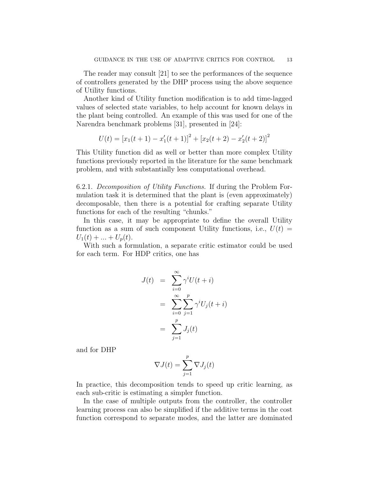The reader may consult [21] to see the performances of the sequence of controllers generated by the DHP process using the above sequence of Utility functions.

Another kind of Utility function modification is to add time-lagged values of selected state variables, to help account for known delays in the plant being controlled. An example of this was used for one of the Narendra benchmark problems [31], presented in [24]:

$$
U(t) = [x_1(t+1) - x_1'(t+1)]^2 + [x_2(t+2) - x_2'(t+2)]^2
$$

This Utility function did as well or better than more complex Utility functions previously reported in the literature for the same benchmark problem, and with substantially less computational overhead.

6.2.1. Decomposition of Utility Functions. If during the Problem Formulation task it is determined that the plant is (even approximately) decomposable, then there is a potential for crafting separate Utility functions for each of the resulting "chunks."

In this case, it may be appropriate to define the overall Utility function as a sum of such component Utility functions, i.e.,  $U(t)$  =  $U_1(t) + ... + U_p(t)$ .

With such a formulation, a separate critic estimator could be used for each term. For HDP critics, one has

$$
J(t) = \sum_{i=0}^{\infty} \gamma^{i} U(t+i)
$$
  
= 
$$
\sum_{i=0}^{\infty} \sum_{j=1}^{p} \gamma^{i} U_{j}(t+i)
$$
  
= 
$$
\sum_{j=1}^{p} J_{j}(t)
$$

and for DHP

$$
\nabla J(t) = \sum_{j=1}^{p} \nabla J_j(t)
$$

In practice, this decomposition tends to speed up critic learning, as each sub-critic is estimating a simpler function.

In the case of multiple outputs from the controller, the controller learning process can also be simplified if the additive terms in the cost function correspond to separate modes, and the latter are dominated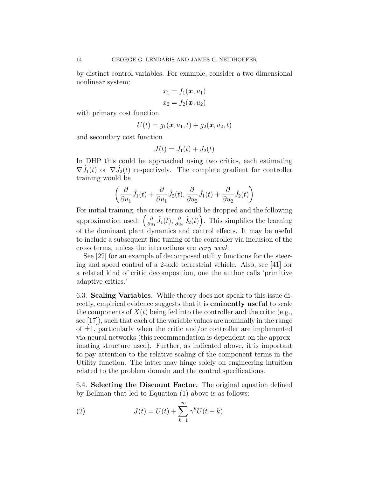by distinct control variables. For example, consider a two dimensional nonlinear system:

$$
x_1 = f_1(\boldsymbol{x}, u_1)
$$
  

$$
x_2 = f_2(\boldsymbol{x}, u_2)
$$

with primary cost function

$$
U(t) = g_1(\boldsymbol{x}, u_1, t) + g_2(\boldsymbol{x}, u_2, t)
$$

and secondary cost function

$$
J(t) = J_1(t) + J_2(t)
$$

In DHP this could be approached using two critics, each estimating  $\nabla \hat{J}_1(t)$  or  $\nabla \hat{J}_2(t)$  respectively. The complete gradient for controller training would be

$$
\left(\frac{\partial}{\partial u_1}\hat{J}_1(t) + \frac{\partial}{\partial u_1}\hat{J}_2(t), \frac{\partial}{\partial u_2}\hat{J}_1(t) + \frac{\partial}{\partial u_2}\hat{J}_2(t)\right)
$$

For initial training, the cross terms could be dropped and the following For initial training, the comproximation used:  $\begin{pmatrix} \frac{\partial}{\partial u} \end{pmatrix}$  $\frac{\partial}{\partial u_1} \hat{J}_1(t), \frac{\partial}{\partial u}$  $\frac{\partial}{\partial u_2} \hat{J}_2(t)$ . This simplifies the learning of the dominant plant dynamics and control effects. It may be useful to include a subsequent fine tuning of the controller via inclusion of the cross terms, unless the interactions are very weak.

See [22] for an example of decomposed utility functions for the steering and speed control of a 2-axle terrestrial vehicle. Also, see [41] for a related kind of critic decomposition, one the author calls 'primitive adaptive critics.'

6.3. Scaling Variables. While theory does not speak to this issue directly, empirical evidence suggests that it is eminently useful to scale the components of  $X(t)$  being fed into the controller and the critic (e.g., see [17]), such that each of the variable values are nominally in the range of  $\pm 1$ , particularly when the critic and/or controller are implemented via neural networks (this recommendation is dependent on the approximating structure used). Further, as indicated above, it is important to pay attention to the relative scaling of the component terms in the Utility function. The latter may hinge solely on engineering intuition related to the problem domain and the control specifications.

6.4. Selecting the Discount Factor. The original equation defined by Bellman that led to Equation (1) above is as follows:

(2) 
$$
J(t) = U(t) + \sum_{k=1}^{\infty} \gamma^k U(t+k)
$$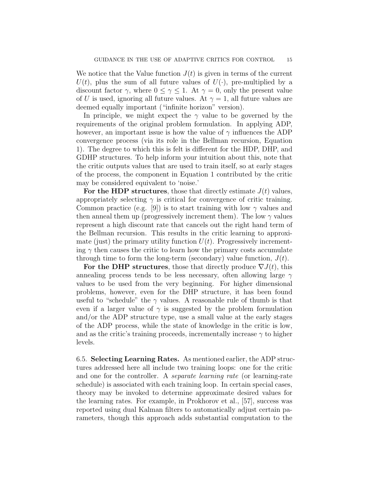We notice that the Value function  $J(t)$  is given in terms of the current  $U(t)$ , plus the sum of all future values of  $U(\cdot)$ , pre-multiplied by a discount factor  $\gamma$ , where  $0 \leq \gamma \leq 1$ . At  $\gamma = 0$ , only the present value of U is used, ignoring all future values. At  $\gamma = 1$ , all future values are deemed equally important ("infinite horizon" version).

In principle, we might expect the  $\gamma$  value to be governed by the requirements of the original problem formulation. In applying ADP, however, an important issue is how the value of  $\gamma$  influences the ADP convergence process (via its role in the Bellman recursion, Equation 1). The degree to which this is felt is different for the HDP, DHP, and GDHP structures. To help inform your intuition about this, note that the critic outputs values that are used to train itself, so at early stages of the process, the component in Equation 1 contributed by the critic may be considered equivalent to 'noise.'

For the HDP structures, those that directly estimate  $J(t)$  values, appropriately selecting  $\gamma$  is critical for convergence of critic training. Common practice (e.g. [9]) is to start training with low  $\gamma$  values and then anneal them up (progressively increment them). The low  $\gamma$  values represent a high discount rate that cancels out the right hand term of the Bellman recursion. This results in the critic learning to approximate (just) the primary utility function  $U(t)$ . Progressively incrementing  $\gamma$  then causes the critic to learn how the primary costs accumulate through time to form the long-term (secondary) value function,  $J(t)$ .

For the DHP structures, those that directly produce  $\nabla J(t)$ , this annealing process tends to be less necessary, often allowing large  $\gamma$ values to be used from the very beginning. For higher dimensional problems, however, even for the DHP structure, it has been found useful to "schedule" the  $\gamma$  values. A reasonable rule of thumb is that even if a larger value of  $\gamma$  is suggested by the problem formulation and/or the ADP structure type, use a small value at the early stages of the ADP process, while the state of knowledge in the critic is low, and as the critic's training proceeds, incrementally increase  $\gamma$  to higher levels.

6.5. Selecting Learning Rates. As mentioned earlier, the ADP structures addressed here all include two training loops: one for the critic and one for the controller. A *separate learning rate* (or learning-rate schedule) is associated with each training loop. In certain special cases, theory may be invoked to determine approximate desired values for the learning rates. For example, in Prokhorov et al., [57], success was reported using dual Kalman filters to automatically adjust certain parameters, though this approach adds substantial computation to the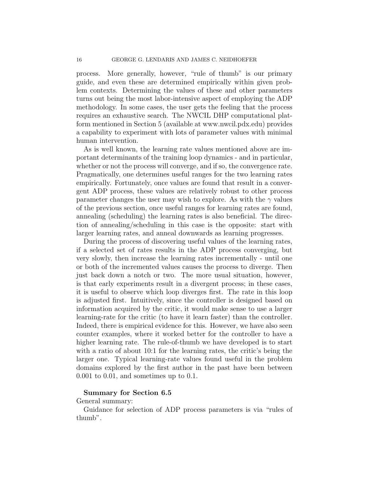process. More generally, however, "rule of thumb" is our primary guide, and even these are determined empirically within given problem contexts. Determining the values of these and other parameters turns out being the most labor-intensive aspect of employing the ADP methodology. In some cases, the user gets the feeling that the process requires an exhaustive search. The NWCIL DHP computational platform mentioned in Section 5 (available at www.nwcil.pdx.edu) provides a capability to experiment with lots of parameter values with minimal human intervention.

As is well known, the learning rate values mentioned above are important determinants of the training loop dynamics - and in particular, whether or not the process will converge, and if so, the convergence rate. Pragmatically, one determines useful ranges for the two learning rates empirically. Fortunately, once values are found that result in a convergent ADP process, these values are relatively robust to other process parameter changes the user may wish to explore. As with the  $\gamma$  values of the previous section, once useful ranges for learning rates are found, annealing (scheduling) the learning rates is also beneficial. The direction of annealing/scheduling in this case is the opposite: start with larger learning rates, and anneal downwards as learning progresses.

During the process of discovering useful values of the learning rates, if a selected set of rates results in the ADP process converging, but very slowly, then increase the learning rates incrementally - until one or both of the incremented values causes the process to diverge. Then just back down a notch or two. The more usual situation, however, is that early experiments result in a divergent process; in these cases, it is useful to observe which loop diverges first. The rate in this loop is adjusted first. Intuitively, since the controller is designed based on information acquired by the critic, it would make sense to use a larger learning-rate for the critic (to have it learn faster) than the controller. Indeed, there is empirical evidence for this. However, we have also seen counter examples, where it worked better for the controller to have a higher learning rate. The rule-of-thumb we have developed is to start with a ratio of about 10:1 for the learning rates, the critic's being the larger one. Typical learning-rate values found useful in the problem domains explored by the first author in the past have been between 0.001 to 0.01, and sometimes up to 0.1.

# Summary for Section 6.5

General summary:

Guidance for selection of ADP process parameters is via "rules of thumb".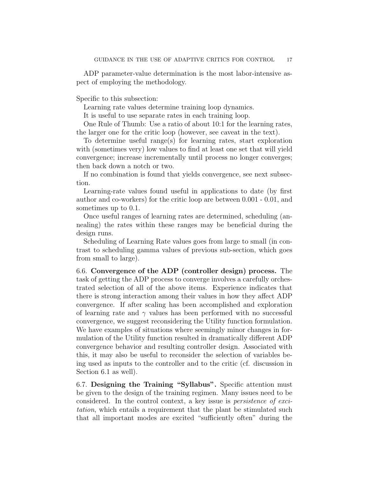ADP parameter-value determination is the most labor-intensive aspect of employing the methodology.

Specific to this subsection:

Learning rate values determine training loop dynamics.

It is useful to use separate rates in each training loop.

One Rule of Thumb: Use a ratio of about 10:1 for the learning rates, the larger one for the critic loop (however, see caveat in the text).

To determine useful range(s) for learning rates, start exploration with (sometimes very) low values to find at least one set that will yield convergence; increase incrementally until process no longer converges; then back down a notch or two.

If no combination is found that yields convergence, see next subsection.

Learning-rate values found useful in applications to date (by first author and co-workers) for the critic loop are between 0.001 - 0.01, and sometimes up to 0.1.

Once useful ranges of learning rates are determined, scheduling (annealing) the rates within these ranges may be beneficial during the design runs.

Scheduling of Learning Rate values goes from large to small (in contrast to scheduling gamma values of previous sub-section, which goes from small to large).

6.6. Convergence of the ADP (controller design) process. The task of getting the ADP process to converge involves a carefully orchestrated selection of all of the above items. Experience indicates that there is strong interaction among their values in how they affect ADP convergence. If after scaling has been accomplished and exploration of learning rate and  $\gamma$  values has been performed with no successful convergence, we suggest reconsidering the Utility function formulation. We have examples of situations where seemingly minor changes in formulation of the Utility function resulted in dramatically different ADP convergence behavior and resulting controller design. Associated with this, it may also be useful to reconsider the selection of variables being used as inputs to the controller and to the critic (cf. discussion in Section 6.1 as well).

6.7. Designing the Training "Syllabus". Specific attention must be given to the design of the training regimen. Many issues need to be considered. In the control context, a key issue is persistence of excitation, which entails a requirement that the plant be stimulated such that all important modes are excited "sufficiently often" during the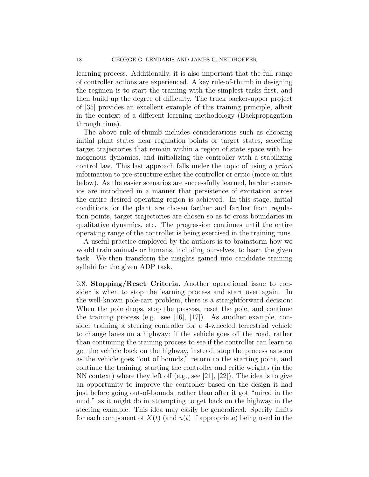learning process. Additionally, it is also important that the full range of controller actions are experienced. A key rule-of-thumb in designing the regimen is to start the training with the simplest tasks first, and then build up the degree of difficulty. The truck backer-upper project of [35] provides an excellent example of this training principle, albeit in the context of a different learning methodology (Backpropagation through time).

The above rule-of-thumb includes considerations such as choosing initial plant states near regulation points or target states, selecting target trajectories that remain within a region of state space with homogenous dynamics, and initializing the controller with a stabilizing control law. This last approach falls under the topic of using a priori information to pre-structure either the controller or critic (more on this below). As the easier scenarios are successfully learned, harder scenarios are introduced in a manner that persistence of excitation across the entire desired operating region is achieved. In this stage, initial conditions for the plant are chosen farther and farther from regulation points, target trajectories are chosen so as to cross boundaries in qualitative dynamics, etc. The progression continues until the entire operating range of the controller is being exercised in the training runs.

A useful practice employed by the authors is to brainstorm how we would train animals or humans, including ourselves, to learn the given task. We then transform the insights gained into candidate training syllabi for the given ADP task.

6.8. Stopping/Reset Criteria. Another operational issue to consider is when to stop the learning process and start over again. In the well-known pole-cart problem, there is a straightforward decision: When the pole drops, stop the process, reset the pole, and continue the training process (e.g. see [16], [17]). As another example, consider training a steering controller for a 4-wheeled terrestrial vehicle to change lanes on a highway: if the vehicle goes off the road, rather than continuing the training process to see if the controller can learn to get the vehicle back on the highway, instead, stop the process as soon as the vehicle goes "out of bounds," return to the starting point, and continue the training, starting the controller and critic weights (in the NN context) where they left off (e.g., see [21], [22]). The idea is to give an opportunity to improve the controller based on the design it had just before going out-of-bounds, rather than after it got "mired in the mud," as it might do in attempting to get back on the highway in the steering example. This idea may easily be generalized: Specify limits for each component of  $X(t)$  (and  $u(t)$  if appropriate) being used in the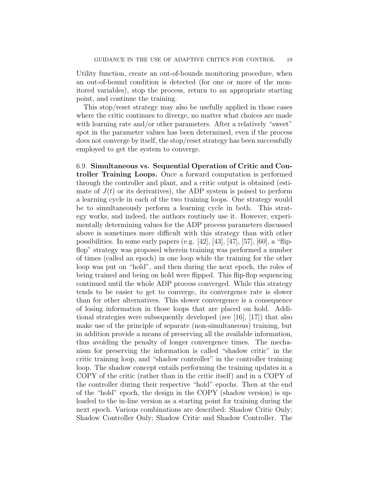Utility function, create an out-of-bounds monitoring procedure, when an out-of-bound condition is detected (for one or more of the monitored variables), stop the process, return to an appropriate starting point, and continue the training.

This stop/reset strategy may also be usefully applied in those cases where the critic continues to diverge, no matter what choices are made with learning rate and/or other parameters. After a relatively "sweet" spot in the parameter values has been determined, even if the process does not converge by itself, the stop/reset strategy has been successfully employed to get the system to converge.

6.9. Simultaneous vs. Sequential Operation of Critic and Controller Training Loops. Once a forward computation is performed through the controller and plant, and a critic output is obtained (estimate of  $J(t)$  or its derivatives), the ADP system is poised to perform a learning cycle in each of the two training loops. One strategy would be to simultaneously perform a learning cycle in both. This strategy works, and indeed, the authors routinely use it. However, experimentally determining values for the ADP process parameters discussed above is sometimes more difficult with this strategy than with other possibilities. In some early papers (e.g. [42], [43], [47], [57], [60], a "flipflop" strategy was proposed wherein training was performed a number of times (called an epoch) in one loop while the training for the other loop was put on "hold", and then during the next epoch, the roles of being trained and being on hold were flipped. This flip-flop sequencing continued until the whole ADP process converged. While this strategy tends to be easier to get to converge, its convergence rate is slower than for other alternatives. This slower convergence is a consequence of losing information in those loops that are placed on hold. Additional strategies were subsequently developed (see [16], [17]) that also make use of the principle of separate (non-simultaneous) training, but in addition provide a means of preserving all the available information, thus avoiding the penalty of longer convergence times. The mechanism for preserving the information is called "shadow critic" in the critic training loop, and "shadow controller" in the controller training loop. The shadow concept entails performing the training updates in a COPY of the critic (rather than in the critic itself) and in a COPY of the controller during their respective "hold" epochs. Then at the end of the "hold" epoch, the design in the COPY (shadow version) is uploaded to the in-line version as a starting point for training during the next epoch. Various combinations are described: Shadow Critic Only; Shadow Controller Only; Shadow Critic and Shadow Controller. The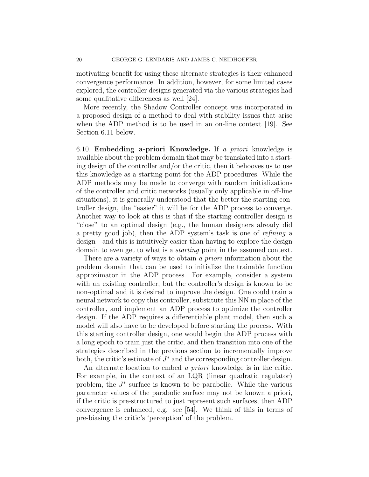motivating benefit for using these alternate strategies is their enhanced convergence performance. In addition, however, for some limited cases explored, the controller designs generated via the various strategies had some qualitative differences as well [24].

More recently, the Shadow Controller concept was incorporated in a proposed design of a method to deal with stability issues that arise when the ADP method is to be used in an on-line context [19]. See Section 6.11 below.

6.10. Embedding a-priori Knowledge. If a priori knowledge is available about the problem domain that may be translated into a starting design of the controller and/or the critic, then it behooves us to use this knowledge as a starting point for the ADP procedures. While the ADP methods may be made to converge with random initializations of the controller and critic networks (usually only applicable in off-line situations), it is generally understood that the better the starting controller design, the "easier" it will be for the ADP process to converge. Another way to look at this is that if the starting controller design is "close" to an optimal design (e.g., the human designers already did a pretty good job), then the ADP system's task is one of refining a design - and this is intuitively easier than having to explore the design domain to even get to what is a starting point in the assumed context.

There are a variety of ways to obtain a *priori* information about the problem domain that can be used to initialize the trainable function approximator in the ADP process. For example, consider a system with an existing controller, but the controller's design is known to be non-optimal and it is desired to improve the design. One could train a neural network to copy this controller, substitute this NN in place of the controller, and implement an ADP process to optimize the controller design. If the ADP requires a differentiable plant model, then such a model will also have to be developed before starting the process. With this starting controller design, one would begin the ADP process with a long epoch to train just the critic, and then transition into one of the strategies described in the previous section to incrementally improve both, the critic's estimate of  $J^*$  and the corresponding controller design.

An alternate location to embed a *priori* knowledge is in the critic. For example, in the context of an LQR (linear quadratic regulator) problem, the  $J^*$  surface is known to be parabolic. While the various parameter values of the parabolic surface may not be known a priori, if the critic is pre-structured to just represent such surfaces, then ADP convergence is enhanced, e.g. see [54]. We think of this in terms of pre-biasing the critic's 'perception' of the problem.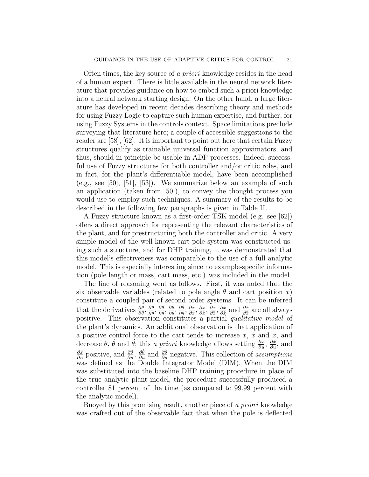Often times, the key source of a priori knowledge resides in the head of a human expert. There is little available in the neural network literature that provides guidance on how to embed such a priori knowledge into a neural network starting design. On the other hand, a large literature has developed in recent decades describing theory and methods for using Fuzzy Logic to capture such human expertise, and further, for using Fuzzy Systems in the controls context. Space limitations preclude surveying that literature here; a couple of accessible suggestions to the reader are [58], [62]. It is important to point out here that certain Fuzzy structures qualify as trainable universal function approximators, and thus, should in principle be usable in ADP processes. Indeed, successful use of Fuzzy structures for both controller and/or critic roles, and in fact, for the plant's differentiable model, have been accomplished (e.g., see [50], [51], [53]). We summarize below an example of such an application (taken from [50]), to convey the thought process you would use to employ such techniques. A summary of the results to be described in the following few paragraphs is given in Table II.

A Fuzzy structure known as a first-order TSK model (e.g. see [62]) offers a direct approach for representing the relevant characteristics of the plant, and for prestructuring both the controller and critic. A very simple model of the well-known cart-pole system was constructed using such a structure, and for DHP training, it was demonstrated that this model's effectiveness was comparable to the use of a full analytic model. This is especially interesting since no example-specific information (pole length or mass, cart mass, etc.) was included in the model.

The line of reasoning went as follows. First, it was noted that the six observable variables (related to pole angle  $\theta$  and cart position x) constitute a coupled pair of second order systems. It can be inferred that the derivatives  $\frac{\partial \theta}{\partial \theta}, \frac{\partial \theta}{\partial \dot{\theta}}, \frac{\partial \theta}{\partial \dot{\theta}}, \frac{\partial \dot{\theta}}{\partial \dot{\theta}}$  $\frac{\partial \dot{\theta}}{\partial \dot{\theta}}, \frac{\partial \dot{\theta}}{\partial \ddot{\theta}}$  $\frac{\partial \theta}{\partial \ddot{\theta}}, \frac{\partial x}{\partial x}, \frac{\partial x}{\partial \dot{x}}$  $\frac{\partial x}{\partial \dot{x}}, \frac{\partial x}{\partial \ddot{x}}$  $\frac{\partial x}{\partial \ddot{x}}, \frac{\partial \dot{x}}{\partial \dot{x}}$  $\frac{\partial \dot{x}}{\partial \dot{x}}$  and  $\frac{\partial \dot{x}}{\partial \ddot{x}}$  are all always positive. This observation constitutes a partial *qualitative model* of the plant's dynamics. An additional observation is that application of a positive control force to the cart tends to increase  $x, \dot{x}$  and  $\ddot{x}$ , and decrease  $\theta$ ,  $\dot{\theta}$  and  $\ddot{\theta}$ ; this *a priori* knowledge allows setting  $\frac{\partial x}{\partial u}$ ,  $\frac{\partial x}{\partial u}$ , and  $\frac{\partial \ddot{x}}{\partial u}$  positive, and  $\frac{\partial \theta}{\partial u}$ ,  $\frac{\partial \dot{\theta}}{\partial u}$  and  $\frac{\partial \ddot{\theta}}{\partial u}$  negative. This collection of assumptions was defined as the Double Integrator Model (DIM). When the DIM was substituted into the baseline DHP training procedure in place of the true analytic plant model, the procedure successfully produced a controller 81 percent of the time (as compared to 99.99 percent with the analytic model).

Buoyed by this promising result, another piece of a priori knowledge was crafted out of the observable fact that when the pole is deflected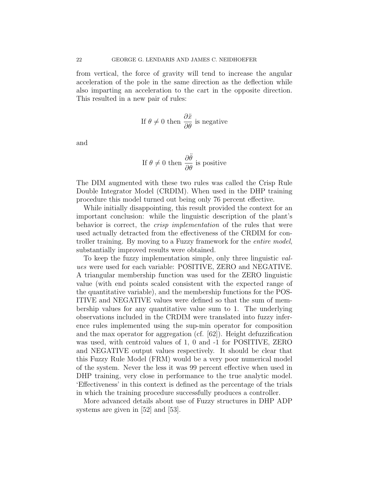from vertical, the force of gravity will tend to increase the angular acceleration of the pole in the same direction as the deflection while also imparting an acceleration to the cart in the opposite direction. This resulted in a new pair of rules:

If 
$$
\theta \neq 0
$$
 then  $\frac{\partial \ddot{x}}{\partial \theta}$  is negative

and

If 
$$
\theta \neq 0
$$
 then  $\frac{\partial \ddot{\theta}}{\partial \theta}$  is positive

The DIM augmented with these two rules was called the Crisp Rule Double Integrator Model (CRDIM). When used in the DHP training procedure this model turned out being only 76 percent effective.

While initially disappointing, this result provided the context for an important conclusion: while the linguistic description of the plant's behavior is correct, the *crisp implementation* of the rules that were used actually detracted from the effectiveness of the CRDIM for controller training. By moving to a Fuzzy framework for the entire model, substantially improved results were obtained.

To keep the fuzzy implementation simple, only three linguistic values were used for each variable: POSITIVE, ZERO and NEGATIVE. A triangular membership function was used for the ZERO linguistic value (with end points scaled consistent with the expected range of the quantitative variable), and the membership functions for the POS-ITIVE and NEGATIVE values were defined so that the sum of membership values for any quantitative value sum to 1. The underlying observations included in the CRDIM were translated into fuzzy inference rules implemented using the sup-min operator for composition and the max operator for aggregation (cf. [62]). Height defuzzification was used, with centroid values of 1, 0 and -1 for POSITIVE, ZERO and NEGATIVE output values respectively. It should be clear that this Fuzzy Rule Model (FRM) would be a very poor numerical model of the system. Never the less it was 99 percent effective when used in DHP training, very close in performance to the true analytic model. 'Effectiveness' in this context is defined as the percentage of the trials in which the training procedure successfully produces a controller.

More advanced details about use of Fuzzy structures in DHP ADP systems are given in  $|52|$  and  $|53|$ .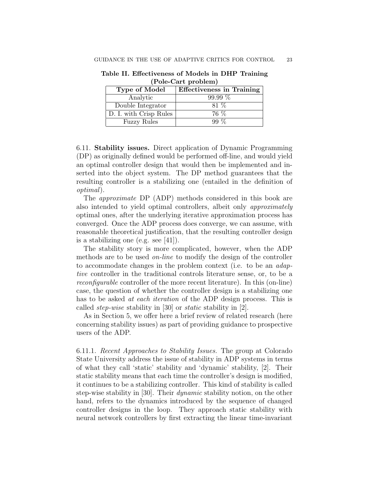| <u>trong-oard propient</u> |                           |  |
|----------------------------|---------------------------|--|
| Type of Model              | Effectiveness in Training |  |
| Analytic                   | $99.99\%$                 |  |
| Double Integrator          | 81 %                      |  |
| D. I. with Crisp Rules     | 76 %                      |  |
| <b>Fuzzy Rules</b>         | $99\%$                    |  |

Table II. Effectiveness of Models in DHP Training (Pole-Cart problem)

6.11. Stability issues. Direct application of Dynamic Programming (DP) as originally defined would be performed off-line, and would yield an optimal controller design that would then be implemented and inserted into the object system. The DP method guarantees that the resulting controller is a stabilizing one (entailed in the definition of optimal).

The approximate DP (ADP) methods considered in this book are also intended to yield optimal controllers, albeit only approximately optimal ones, after the underlying iterative approximation process has converged. Once the ADP process does converge, we can assume, with reasonable theoretical justification, that the resulting controller design is a stabilizing one (e.g. see  $|41|$ ).

The stability story is more complicated, however, when the ADP methods are to be used on-line to modify the design of the controller to accommodate changes in the problem context (i.e. to be an adaptive controller in the traditional controls literature sense, or, to be a reconfigurable controller of the more recent literature). In this (on-line) case, the question of whether the controller design is a stabilizing one has to be asked at each iteration of the ADP design process. This is called step-wise stability in [30] or static stability in [2].

As in Section 5, we offer here a brief review of related research (here concerning stability issues) as part of providing guidance to prospective users of the ADP.

6.11.1. Recent Approaches to Stability Issues. The group at Colorado State University address the issue of stability in ADP systems in terms of what they call 'static' stability and 'dynamic' stability, [2]. Their static stability means that each time the controller's design is modified, it continues to be a stabilizing controller. This kind of stability is called step-wise stability in [30]. Their dynamic stability notion, on the other hand, refers to the dynamics introduced by the sequence of changed controller designs in the loop. They approach static stability with neural network controllers by first extracting the linear time-invariant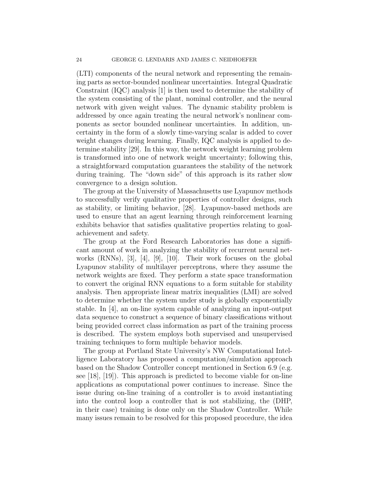(LTI) components of the neural network and representing the remaining parts as sector-bounded nonlinear uncertainties. Integral Quadratic Constraint (IQC) analysis [1] is then used to determine the stability of the system consisting of the plant, nominal controller, and the neural network with given weight values. The dynamic stability problem is addressed by once again treating the neural network's nonlinear components as sector bounded nonlinear uncertainties. In addition, uncertainty in the form of a slowly time-varying scalar is added to cover weight changes during learning. Finally, IQC analysis is applied to determine stability [29]. In this way, the network weight learning problem is transformed into one of network weight uncertainty; following this, a straightforward computation guarantees the stability of the network during training. The "down side" of this approach is its rather slow convergence to a design solution.

The group at the University of Massachusetts use Lyapunov methods to successfully verify qualitative properties of controller designs, such as stability, or limiting behavior, [28]. Lyapunov-based methods are used to ensure that an agent learning through reinforcement learning exhibits behavior that satisfies qualitative properties relating to goalachievement and safety.

The group at the Ford Research Laboratories has done a significant amount of work in analyzing the stability of recurrent neural networks (RNNs), [3], [4], [9], [10]. Their work focuses on the global Lyapunov stability of multilayer perceptrons, where they assume the network weights are fixed. They perform a state space transformation to convert the original RNN equations to a form suitable for stability analysis. Then appropriate linear matrix inequalities (LMI) are solved to determine whether the system under study is globally exponentially stable. In [4], an on-line system capable of analyzing an input-output data sequence to construct a sequence of binary classifications without being provided correct class information as part of the training process is described. The system employs both supervised and unsupervised training techniques to form multiple behavior models.

The group at Portland State University's NW Computational Intelligence Laboratory has proposed a computation/simulation approach based on the Shadow Controller concept mentioned in Section 6.9 (e.g. see [18], [19]). This approach is predicted to become viable for on-line applications as computational power continues to increase. Since the issue during on-line training of a controller is to avoid instantiating into the control loop a controller that is not stabilizing, the (DHP, in their case) training is done only on the Shadow Controller. While many issues remain to be resolved for this proposed procedure, the idea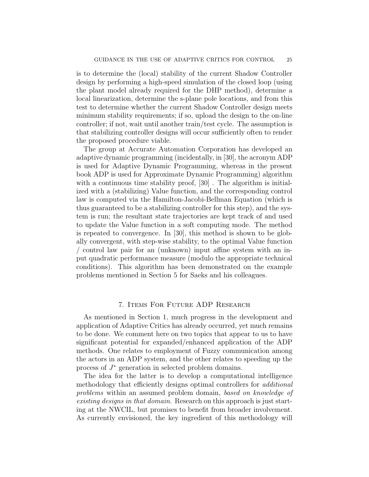is to determine the (local) stability of the current Shadow Controller design by performing a high-speed simulation of the closed loop (using the plant model already required for the DHP method), determine a local linearization, determine the s-plane pole locations, and from this test to determine whether the current Shadow Controller design meets minimum stability requirements; if so, upload the design to the on-line controller; if not, wait until another train/test cycle. The assumption is that stabilizing controller designs will occur sufficiently often to render the proposed procedure viable.

The group at Accurate Automation Corporation has developed an adaptive dynamic programming (incidentally, in [30], the acronym ADP is used for Adaptive Dynamic Programming, whereas in the present book ADP is used for Approximate Dynamic Programming) algorithm with a continuous time stability proof, [30]. The algorithm is initialized with a (stabilizing) Value function, and the corresponding control law is computed via the Hamilton-Jacobi-Bellman Equation (which is thus guaranteed to be a stabilizing controller for this step), and the system is run; the resultant state trajectories are kept track of and used to update the Value function in a soft computing mode. The method is repeated to convergence. In [30], this method is shown to be globally convergent, with step-wise stability, to the optimal Value function / control law pair for an (unknown) input affine system with an input quadratic performance measure (modulo the appropriate technical conditions). This algorithm has been demonstrated on the example problems mentioned in Section 5 for Saeks and his colleagues.

# 7. Items For Future ADP Research

As mentioned in Section 1, much progress in the development and application of Adaptive Critics has already occurred, yet much remains to be done. We comment here on two topics that appear to us to have significant potential for expanded/enhanced application of the ADP methods. One relates to employment of Fuzzy communication among the actors in an ADP system, and the other relates to speeding up the process of  $J^*$  generation in selected problem domains.

The idea for the latter is to develop a computational intelligence methodology that efficiently designs optimal controllers for additional problems within an assumed problem domain, based on knowledge of existing designs in that domain. Research on this approach is just starting at the NWCIL, but promises to benefit from broader involvement. As currently envisioned, the key ingredient of this methodology will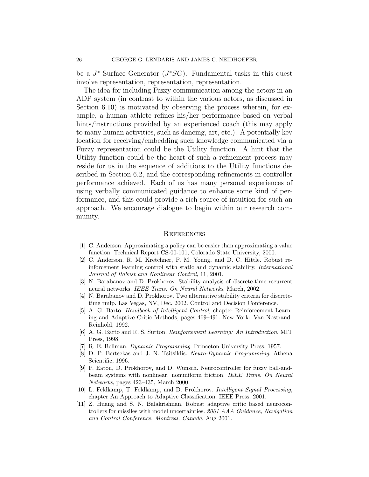be a  $J^*$  Surface Generator  $(J^*SG)$ . Fundamental tasks in this quest involve representation, representation, representation.

The idea for including Fuzzy communication among the actors in an ADP system (in contrast to within the various actors, as discussed in Section 6.10) is motivated by observing the process wherein, for example, a human athlete refines his/her performance based on verbal hints/instructions provided by an experienced coach (this may apply to many human activities, such as dancing, art, etc.). A potentially key location for receiving/embedding such knowledge communicated via a Fuzzy representation could be the Utility function. A hint that the Utility function could be the heart of such a refinement process may reside for us in the sequence of additions to the Utility functions described in Section 6.2, and the corresponding refinements in controller performance achieved. Each of us has many personal experiences of using verbally communicated guidance to enhance some kind of performance, and this could provide a rich source of intuition for such an approach. We encourage dialogue to begin within our research community.

#### **REFERENCES**

- [1] C. Anderson. Approximating a policy can be easier than approximating a value function. Technical Report CS-00-101, Colorado State University, 2000.
- [2] C. Anderson, R. M. Kretchner, P. M. Young, and D. C. Hittle. Robust reinforcement learning control with static and dynamic stability. International Journal of Robust and Nonlinear Control, 11, 2001.
- [3] N. Barabanov and D. Prokhorov. Stability analysis of discrete-time recurrent neural networks. IEEE Trans. On Neural Networks, March, 2002.
- [4] N. Barabanov and D. Prokhorov. Two alternative stability criteria for discretetime rmlp. Las Vegas, NV, Dec. 2002. Control and Decision Conference.
- [5] A. G. Barto. Handbook of Intelligent Control, chapter Reinforcement Learning and Adaptive Critic Methods, pages 469–491. New York: Van Nostrand-Reinhold, 1992.
- [6] A. G. Barto and R. S. Sutton. Reinforcement Learning: An Introduction. MIT Press, 1998.
- [7] R. E. Bellman. Dynamic Programming. Princeton University Press, 1957.
- [8] D. P. Bertsekas and J. N. Tsitsiklis. Neuro-Dynamic Programming. Athena Scientific, 1996.
- [9] P. Eaton, D. Prokhorov, and D. Wunsch. Neurocontroller for fuzzy ball-andbeam systems with nonlinear, nonuniform friction. IEEE Trans. On Neural Networks, pages 423–435, March 2000.
- [10] L. Feldkamp, T. Feldkamp, and D. Prokhorov. Intelligent Signal Processing, chapter An Approach to Adaptive Classification. IEEE Press, 2001.
- [11] Z. Huang and S. N. Balakrishnan. Robust adaptive critic based neurocontrollers for missiles with model uncertainties. 2001 AAA Guidance, Navigation and Control Conference, Montreal, Canada, Aug 2001.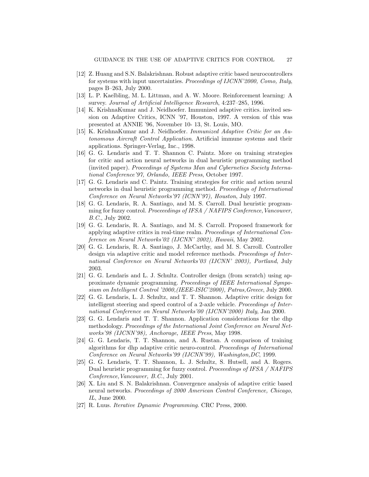- [12] Z. Huang and S.N. Balakrishnan. Robust adaptive critic based neurocontrollers for systems with input uncertainties. Proceedings of IJCNN'2000, Como, Italy, pages B–263, July 2000.
- [13] L. P. Kaelbling, M. L. Littman, and A. W. Moore. Reinforcement learning: A survey. Journal of Artificial Intelligence Research, 4:237–285, 1996.
- [14] K. KrishnaKumar and J. Neidhoefer. Immunized adaptive critics. invited session on Adaptive Critics, ICNN '97, Houston, 1997. A version of this was presented at ANNIE '96, November 10- 13, St. Louis, MO.
- [15] K. KrishnaKumar and J. Neidhoefer. Immunized Adaptive Critic for an Autonomous Aircraft Control Application. Artificial immune systems and their applications. Springer-Verlag, Inc., 1998.
- [16] G. G. Lendaris and T. T. Shannon C. Paintz. More on training strategies for critic and action neural networks in dual heuristic programming method (invited paper). Proceedings of Systems Man and Cybernetics Society International Conference'97, Orlando, IEEE Press, October 1997.
- [17] G. G. Lendaris and C. Paintz. Training strategies for critic and action neural networks in dual heuristic programming method. Proceedings of International Conference on Neural Networks'97 (ICNN'97), Houston, July 1997.
- [18] G. G. Lendaris, R. A. Santiago, and M. S. Carroll. Dual heuristic programming for fuzzy control. Proceeedings of IFSA / NAFIPS Conference, Vancouver, B.C., July 2002.
- [19] G. G. Lendaris, R. A. Santiago, and M. S. Carroll. Proposed framework for applying adaptive critics in real-time realm. Proceedings of International Conference on Neural Networks'02 (IJCNN' 2002), Hawaii, May 2002.
- [20] G. G. Lendaris, R. A. Santiago, J. McCarthy, and M. S. Carroll. Controller design via adaptive critic and model reference methods. Proceedings of International Conference on Neural Networks'03 (IJCNN' 2003), Portland, July 2003.
- [21] G. G. Lendaris and L. J. Schultz. Controller design (from scratch) using approximate dynamic programming. Proceedings of IEEE International Symposium on Intelligent Control '2000,(IEEE-ISIC'2000), Patras,Greece, July 2000.
- [22] G. G. Lendaris, L. J. Schultz, and T. T. Shannon. Adaptive critic design for intelligent steering and speed control of a 2-axle vehicle. Proceedings of International Conference on Neural Networks'00 (IJCNN'2000) Italy, Jan 2000.
- [23] G. G. Lendaris and T. T. Shannon. Application considerations for the dhp methodology. Proceedings of the International Joint Conference on Neural Networks'98 (IJCNN'98), Anchorage, IEEE Press, May 1998.
- [24] G. G. Lendaris, T. T. Shannon, and A. Rustan. A comparison of training algorithms for dhp adaptive critic neuro-control. Proceedings of International Conference on Neural Networks'99 (IJCNN'99), Washington,DC, 1999.
- [25] G. G. Lendaris, T. T. Shannon, L. J. Schultz, S. Hutsell, and A. Rogers. Dual heuristic programming for fuzzy control. Proceedings of IFSA / NAFIPS Conference,Vancouver, B.C., July 2001.
- [26] X. Liu and S. N. Balakrishnan. Convergence analysis of adaptive critic based neural networks. Proceedings of 2000 American Control Conference, Chicago, IL, June 2000.
- [27] R. Luus. Iterative Dynamic Programming. CRC Press, 2000.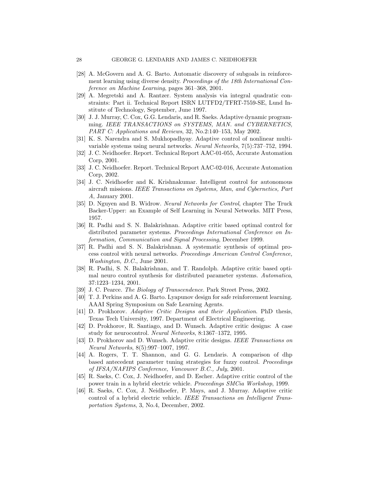- [28] A. McGovern and A. G. Barto. Automatic discovery of subgoals in reinforcement learning using diverse density. Proceedings of the 18th International Conference on Machine Learning, pages 361–368, 2001.
- [29] A. Megretski and A. Rantzer. System analysis via integral quadratic constraints: Part ii. Technical Report ISRN LUTFD2/TFRT-7559-SE, Lund Institute of Technology, September, June 1997.
- [30] J. J. Murray, C. Cox, G.G. Lendaris, and R. Saeks. Adaptive dynamic programming. IEEE TRANSACTIONS on SYSTEMS, MAN. and CYBERNETICS, PART C: Applications and Reviews, 32, No.2:140–153, May 2002.
- [31] K. S. Narendra and S. Mukhopadhyay. Adaptive control of nonlinear multivariable systems using neural networks. Neural Networks, 7(5):737–752, 1994.
- [32] J. C. Neidhoefer. Report. Technical Report AAC-01-055, Accurate Automation Corp, 2001.
- [33] J. C. Neidhoefer. Report. Technical Report AAC-02-016, Accurate Automation Corp, 2002.
- [34] J. C. Neidhoefer and K. Krishnakumar. Intelligent control for autonomous aircraft missions. IEEE Transactions on Systems, Man, and Cybernetics, Part A, January 2001.
- [35] D. Nguyen and B. Widrow. Neural Networks for Control, chapter The Truck Backer-Upper: an Example of Self Learning in Neural Networks. MIT Press, 1957.
- [36] R. Padhi and S. N. Balakrishnan. Adaptive critic based optimal control for distributed parameter systems. Proceedings International Conference on Information, Communication and Signal Processing, December 1999.
- [37] R. Padhi and S. N. Balakrishnan. A systematic synthesis of optimal process control with neural networks. Proceedings American Control Conference, Washington, D.C., June 2001.
- [38] R. Padhi, S. N. Balakrishnan, and T. Randolph. Adaptive critic based optimal neuro control synthesis for distributed parameter systems. Automatica, 37:1223–1234, 2001.
- [39] J. C. Pearce. The Biology of Transcendence. Park Street Press, 2002.
- [40] T. J. Perkins and A. G. Barto. Lyapunov design for safe reinforcement learning. AAAI Spring Symposium on Safe Learning Agents.
- [41] D. Prokhorov. Adaptive Critic Designs and their Application. PhD thesis, Texas Tech University, 1997. Department of Electrical Engineering.
- [42] D. Prokhorov, R. Santiago, and D. Wunsch. Adaptive critic designs: A case study for neurocontrol. Neural Networks, 8:1367–1372, 1995.
- [43] D. Prokhorov and D. Wunsch. Adaptive critic designs. IEEE Transactions on Neural Networks, 8(5):997–1007, 1997.
- [44] A. Rogers, T. T. Shannon, and G. G. Lendaris. A comparison of dhp based antecedent parameter tuning strategies for fuzzy control. Proceedings of IFSA/NAFIPS Conference, Vancouver B.C., July, 2001.
- [45] R. Saeks, C. Cox, J. Neidhoefer, and D. Escher. Adaptive critic control of the power train in a hybrid electric vehicle. Proceedings SMCia Workshop, 1999.
- [46] R. Saeks, C. Cox, J. Neidhoefer, P. Mays, and J. Murray. Adaptive critic control of a hybrid electric vehicle. IEEE Transactions on Intelligent Transportation Systems, 3, No.4, December, 2002.